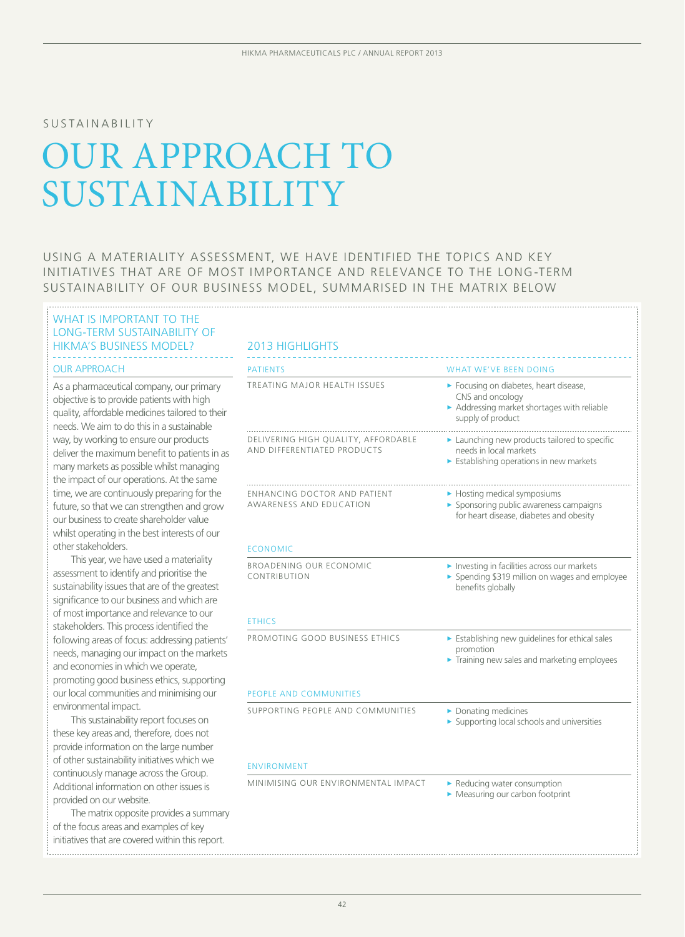### SUSTAINABILITY

# OUR APPROACH TO SUSTAINABILITY

USING A MATERIALITY ASSESSMENT, WE HAVE IDENTIFIED THE TOPICS AND KEY initiatives that are of most importance and relevance to the long-term sustainability of our business model, summarised in the matrix below

# WHAT IS IMPORTANT TO THE LONG-TERM SUSTAINABILITY OF HIKMA'S BUSINESS MODEL?

#### **OUR APPROACH**

As a pharmaceutical company, our primary objective is to provide patients with high quality, affordable medicines tailored to their needs. We aim to do this in a sustainable way, by working to ensure our products deliver the maximum benefit to patients in as many markets as possible whilst managing the impact of our operations. At the same time, we are continuously preparing for the future, so that we can strengthen and grow our business to create shareholder value whilst operating in the best interests of our other stakeholders.

This year, we have used a materiality assessment to identify and prioritise the sustainability issues that are of the greatest significance to our business and which are of most importance and relevance to our stakeholders. This process identified the following areas of focus: addressing patients' needs, managing our impact on the markets and economies in which we operate, promoting good business ethics, supporting our local communities and minimising our environmental impact.

This sustainability report focuses on these key areas and, therefore, does not provide information on the large number of other sustainability initiatives which we continuously manage across the Group. Additional information on other issues is provided on our website.

The matrix opposite provides a summary of the focus areas and examples of key initiatives that are covered within this report.

| <b>PATIENTS</b>                                                       | <b>WHAT WE'VE BEEN DOING</b>                                                                                               |
|-----------------------------------------------------------------------|----------------------------------------------------------------------------------------------------------------------------|
| TREATING MAJOR HEALTH ISSUES                                          | Focusing on diabetes, heart disease,<br>CNS and oncology<br>Addressing market shortages with reliable<br>supply of product |
| DELIVERING HIGH QUALITY, AFFORDABLE<br>AND DIFFERENTIATED PRODUCTS    | Launching new products tailored to specific<br>needs in local markets<br>Establishing operations in new markets            |
| <b>ENHANCING DOCTOR AND PATIENT</b><br><b>AWARENESS AND EDUCATION</b> | • Hosting medical symposiums<br>Sponsoring public awareness campaigns<br>for heart disease, diabetes and obesity           |
| <b>ECONOMIC</b>                                                       |                                                                                                                            |
| BROADENING OUR ECONOMIC<br>CONTRIBUTION                               | Investing in facilities across our markets<br>> Spending \$319 million on wages and employee<br>benefits globally          |
| <b>ETHICS</b>                                                         |                                                                                                                            |
| PROMOTING GOOD BUSINESS ETHICS                                        | Establishing new guidelines for ethical sales<br>promotion<br>Training new sales and marketing employees                   |
| <b>PEOPLE AND COMMUNITIES</b>                                         |                                                                                                                            |
| SUPPORTING PEOPLE AND COMMUNITIES                                     | Donating medicines<br>Supporting local schools and universities                                                            |
| <b>ENVIRONMENT</b>                                                    |                                                                                                                            |
| MINIMISING OUR ENVIRONMENTAL IMPACT                                   | Reducing water consumption<br>Measuring our carbon footprint                                                               |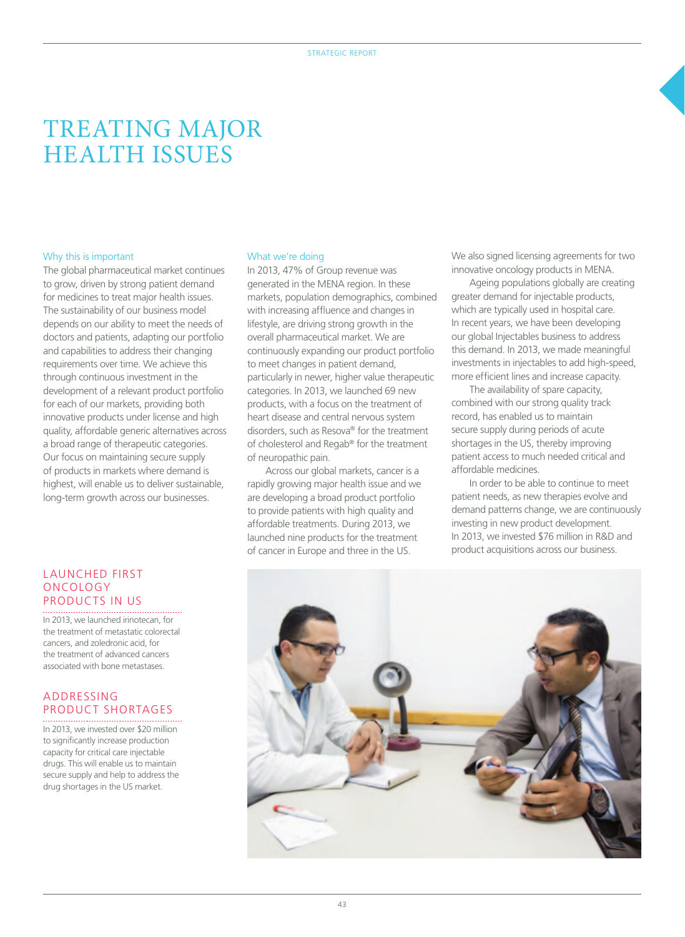# TREATING MAJOR HEALTH ISSUES

#### Why this is important

The global pharmaceutical market continues to grow, driven by strong patient demand for medicines to treat major health issues. The sustainability of our business model depends on our ability to meet the needs of doctors and patients, adapting our portfolio and capabilities to address their changing requirements over time. We achieve this through continuous investment in the development of a relevant product portfolio for each of our markets, providing both innovative products under license and high quality, affordable generic alternatives across a broad range of therapeutic categories. Our focus on maintaining secure supply of products in markets where demand is highest, will enable us to deliver sustainable, long-term growth across our businesses.

### Launched first oncology products in US

In 2013, we launched irinotecan, for the treatment of metastatic colorectal cancers, and zoledronic acid, for the treatment of advanced cancers associated with bone metastases.

# ADDRESSING PRODUCT SHORTAGES

In 2013, we invested over \$20 million to significantly increase production capacity for critical care injectable drugs. This will enable us to maintain secure supply and help to address the drug shortages in the US market.

#### What we're doing

In 2013, 47% of Group revenue was generated in the MENA region. In these markets, population demographics, combined with increasing affluence and changes in lifestyle, are driving strong growth in the overall pharmaceutical market. We are continuously expanding our product portfolio to meet changes in patient demand, particularly in newer, higher value therapeutic categories. In 2013, we launched 69 new products, with a focus on the treatment of heart disease and central nervous system disorders, such as Resova® for the treatment of cholesterol and Regab® for the treatment of neuropathic pain.

Across our global markets, cancer is a rapidly growing major health issue and we are developing a broad product portfolio to provide patients with high quality and affordable treatments. During 2013, we launched nine products for the treatment of cancer in Europe and three in the US.

We also signed licensing agreements for two innovative oncology products in MENA.

Ageing populations globally are creating greater demand for injectable products, which are typically used in hospital care. In recent years, we have been developing our global Injectables business to address this demand. In 2013, we made meaningful investments in injectables to add high-speed, more efficient lines and increase capacity.

The availability of spare capacity, combined with our strong quality track record, has enabled us to maintain secure supply during periods of acute shortages in the US, thereby improving patient access to much needed critical and affordable medicines.

In order to be able to continue to meet patient needs, as new therapies evolve and demand patterns change, we are continuously investing in new product development. In 2013, we invested \$76 million in R&D and product acquisitions across our business.

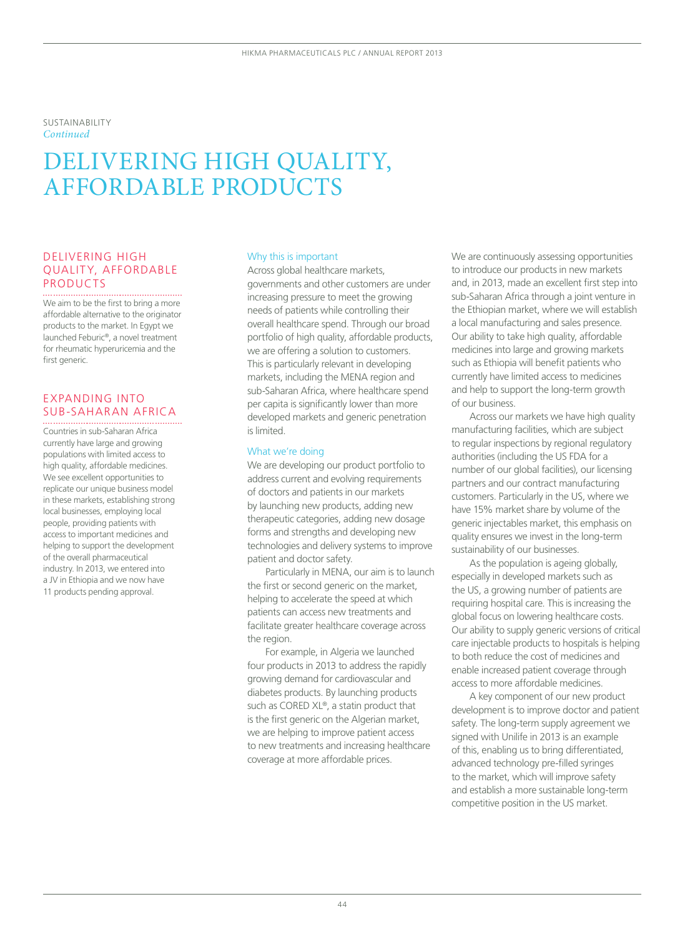Sustainability *Continued*

# DELIVERING HIGH QUALITY, AFFORDABLE PRODUCTS

# Delivering high quality, affordable PRODUCTS

We aim to be the first to bring a more affordable alternative to the originator products to the market. In Egypt we launched Feburic®, a novel treatment for rheumatic hyperuricemia and the first generic

## Expanding into sub-Saharan Africa

Countries in sub-Saharan Africa currently have large and growing populations with limited access to high quality, affordable medicines. We see excellent opportunities to replicate our unique business model in these markets, establishing strong local businesses, employing local people, providing patients with access to important medicines and helping to support the development of the overall pharmaceutical industry. In 2013, we entered into a JV in Ethiopia and we now have 11 products pending approval.

#### Why this is important

Across global healthcare markets, governments and other customers are under increasing pressure to meet the growing needs of patients while controlling their overall healthcare spend. Through our broad portfolio of high quality, affordable products, we are offering a solution to customers. This is particularly relevant in developing markets, including the MENA region and sub-Saharan Africa, where healthcare spend per capita is significantly lower than more developed markets and generic penetration is limited.

#### What we're doing

We are developing our product portfolio to address current and evolving requirements of doctors and patients in our markets by launching new products, adding new therapeutic categories, adding new dosage forms and strengths and developing new technologies and delivery systems to improve patient and doctor safety.

Particularly in MENA, our aim is to launch the first or second generic on the market, helping to accelerate the speed at which patients can access new treatments and facilitate greater healthcare coverage across the region.

For example, in Algeria we launched four products in 2013 to address the rapidly growing demand for cardiovascular and diabetes products. By launching products such as CORED XL®, a statin product that is the first generic on the Algerian market, we are helping to improve patient access to new treatments and increasing healthcare coverage at more affordable prices.

We are continuously assessing opportunities to introduce our products in new markets and, in 2013, made an excellent first step into sub-Saharan Africa through a joint venture in the Ethiopian market, where we will establish a local manufacturing and sales presence. Our ability to take high quality, affordable medicines into large and growing markets such as Ethiopia will benefit patients who currently have limited access to medicines and help to support the long-term growth of our business.

Across our markets we have high quality manufacturing facilities, which are subject to regular inspections by regional regulatory authorities (including the US FDA for a number of our global facilities), our licensing partners and our contract manufacturing customers. Particularly in the US, where we have 15% market share by volume of the generic injectables market, this emphasis on quality ensures we invest in the long-term sustainability of our businesses.

As the population is ageing globally, especially in developed markets such as the US, a growing number of patients are requiring hospital care. This is increasing the global focus on lowering healthcare costs. Our ability to supply generic versions of critical care injectable products to hospitals is helping to both reduce the cost of medicines and enable increased patient coverage through access to more affordable medicines.

A key component of our new product development is to improve doctor and patient safety. The long-term supply agreement we signed with Unilife in 2013 is an example of this, enabling us to bring differentiated, advanced technology pre-filled syringes to the market, which will improve safety and establish a more sustainable long-term competitive position in the US market.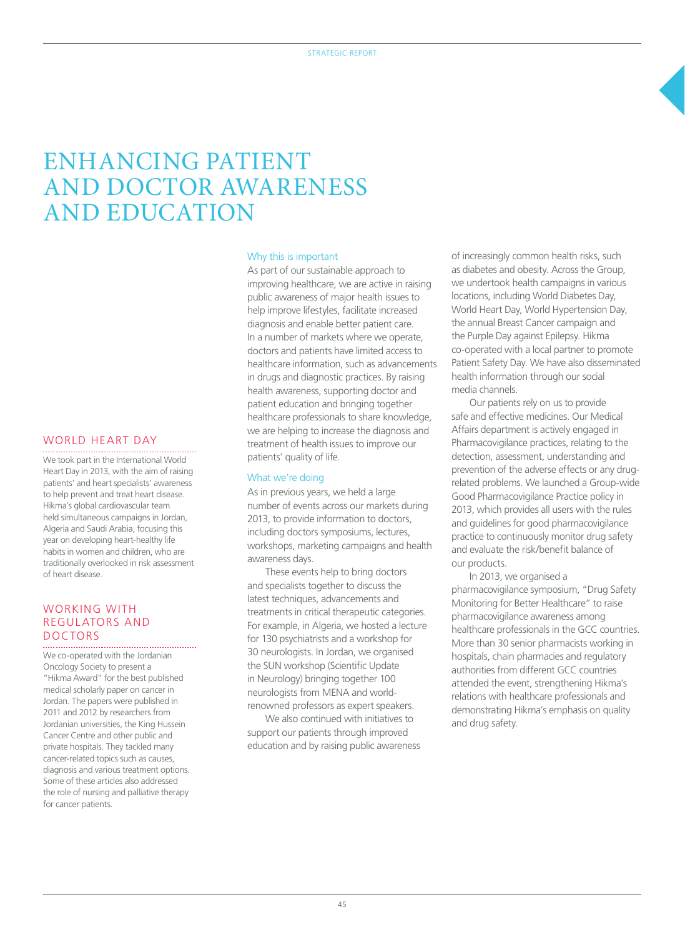# ENHANCING PATIENT AND DOCTOR AWARENESS AND EDUCATION

#### Why this is important

As part of our sustainable approach to improving healthcare, we are active in raising public awareness of major health issues to help improve lifestyles, facilitate increased diagnosis and enable better patient care. In a number of markets where we operate, doctors and patients have limited access to healthcare information, such as advancements in drugs and diagnostic practices. By raising health awareness, supporting doctor and patient education and bringing together healthcare professionals to share knowledge, we are helping to increase the diagnosis and treatment of health issues to improve our patients' quality of life.

#### What we're doing

As in previous years, we held a large number of events across our markets during 2013, to provide information to doctors, including doctors symposiums, lectures, workshops, marketing campaigns and health awareness days.

These events help to bring doctors and specialists together to discuss the latest techniques, advancements and treatments in critical therapeutic categories. For example, in Algeria, we hosted a lecture for 130 psychiatrists and a workshop for 30 neurologists. In Jordan, we organised the SUN workshop (Scientific Update in Neurology) bringing together 100 neurologists from MENA and worldrenowned professors as expert speakers.

We also continued with initiatives to support our patients through improved education and by raising public awareness

of increasingly common health risks, such as diabetes and obesity. Across the Group, we undertook health campaigns in various locations, including World Diabetes Day, World Heart Day, World Hypertension Day, the annual Breast Cancer campaign and the Purple Day against Epilepsy. Hikma co-operated with a local partner to promote Patient Safety Day. We have also disseminated health information through our social media channels.

Our patients rely on us to provide safe and effective medicines. Our Medical Affairs department is actively engaged in Pharmacovigilance practices, relating to the detection, assessment, understanding and prevention of the adverse effects or any drugrelated problems. We launched a Group-wide Good Pharmacovigilance Practice policy in 2013, which provides all users with the rules and guidelines for good pharmacovigilance practice to continuously monitor drug safety and evaluate the risk/benefit balance of our products.

In 2013, we organised a pharmacovigilance symposium, "Drug Safety Monitoring for Better Healthcare" to raise pharmacovigilance awareness among healthcare professionals in the GCC countries. More than 30 senior pharmacists working in hospitals, chain pharmacies and regulatory authorities from different GCC countries attended the event, strengthening Hikma's relations with healthcare professionals and demonstrating Hikma's emphasis on quality and drug safety.

#### WORLD HEART DAY

We took part in the International World Heart Day in 2013, with the aim of raising patients' and heart specialists' awareness to help prevent and treat heart disease. Hikma's global cardiovascular team held simultaneous campaigns in Jordan, Algeria and Saudi Arabia, focusing this year on developing heart-healthy life habits in women and children, who are traditionally overlooked in risk assessment of heart disease.

### WORKING WITH regulators and doctors

We co-operated with the Jordanian Oncology Society to present a "Hikma Award" for the best published medical scholarly paper on cancer in Jordan. The papers were published in 2011 and 2012 by researchers from Jordanian universities, the King Hussein Cancer Centre and other public and private hospitals. They tackled many cancer-related topics such as causes, diagnosis and various treatment options. Some of these articles also addressed the role of nursing and palliative therapy for cancer patients.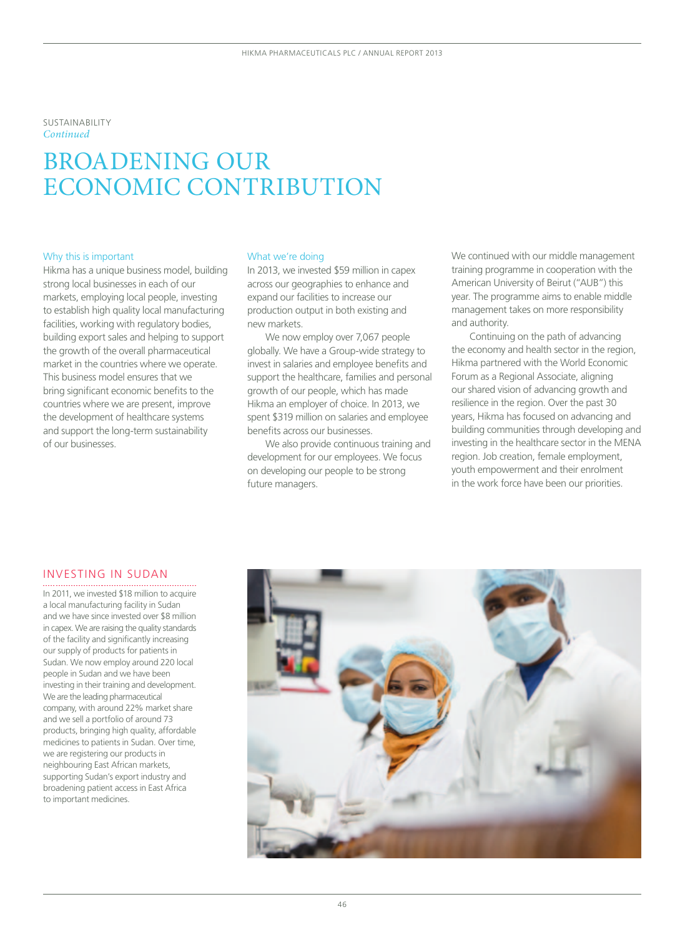#### Sustainability *Continued*

# BROADENING OUR ECONOMIC CONTRIBUTION

#### Why this is important

Hikma has a unique business model, building strong local businesses in each of our markets, employing local people, investing to establish high quality local manufacturing facilities, working with regulatory bodies, building export sales and helping to support the growth of the overall pharmaceutical market in the countries where we operate. This business model ensures that we bring significant economic benefits to the countries where we are present, improve the development of healthcare systems and support the long-term sustainability of our businesses.

#### What we're doing

In 2013, we invested \$59 million in capex across our geographies to enhance and expand our facilities to increase our production output in both existing and new markets.

We now employ over 7,067 people globally. We have a Group-wide strategy to invest in salaries and employee benefits and support the healthcare, families and personal growth of our people, which has made Hikma an employer of choice. In 2013, we spent \$319 million on salaries and employee benefits across our businesses.

We also provide continuous training and development for our employees. We focus on developing our people to be strong future managers.

We continued with our middle management training programme in cooperation with the American University of Beirut ("AUB") this year. The programme aims to enable middle management takes on more responsibility and authority.

Continuing on the path of advancing the economy and health sector in the region, Hikma partnered with the World Economic Forum as a Regional Associate, aligning our shared vision of advancing growth and resilience in the region. Over the past 30 years, Hikma has focused on advancing and building communities through developing and investing in the healthcare sector in the MENA region. Job creation, female employment, youth empowerment and their enrolment in the work force have been our priorities.

### INVESTING IN SUDAN

In 2011, we invested \$18 million to acquire a local manufacturing facility in Sudan and we have since invested over \$8 million in capex. We are raising the quality standards of the facility and significantly increasing our supply of products for patients in Sudan. We now employ around 220 local people in Sudan and we have been investing in their training and development. We are the leading pharmaceutical company, with around 22% market share and we sell a portfolio of around 73 products, bringing high quality, affordable medicines to patients in Sudan. Over time, we are registering our products in neighbouring East African markets, supporting Sudan's export industry and broadening patient access in East Africa to important medicines.

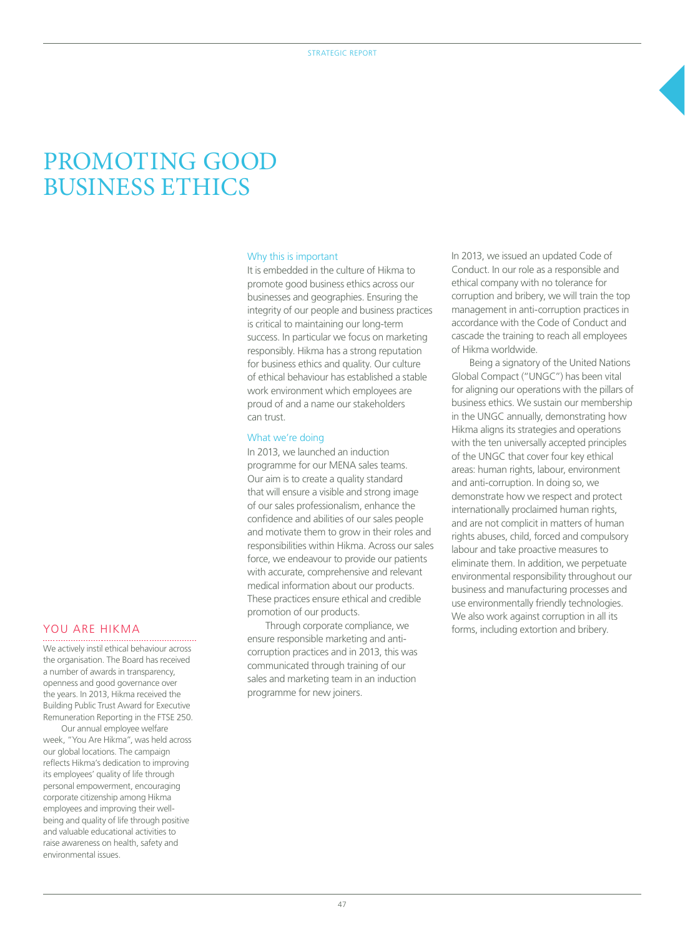# PROMOTING GOOD BUSINESS ETHICS

#### Why this is important

It is embedded in the culture of Hikma to promote good business ethics across our businesses and geographies. Ensuring the integrity of our people and business practices is critical to maintaining our long-term success. In particular we focus on marketing responsibly. Hikma has a strong reputation for business ethics and quality. Our culture of ethical behaviour has established a stable work environment which employees are proud of and a name our stakeholders can trust.

#### What we're doing

In 2013, we launched an induction programme for our MENA sales teams. Our aim is to create a quality standard that will ensure a visible and strong image of our sales professionalism, enhance the confidence and abilities of our sales people and motivate them to grow in their roles and responsibilities within Hikma. Across our sales force, we endeavour to provide our patients with accurate, comprehensive and relevant medical information about our products. These practices ensure ethical and credible promotion of our products.

Through corporate compliance, we ensure responsible marketing and anticorruption practices and in 2013, this was communicated through training of our sales and marketing team in an induction programme for new joiners.

In 2013, we issued an updated Code of Conduct. In our role as a responsible and ethical company with no tolerance for corruption and bribery, we will train the top management in anti-corruption practices in accordance with the Code of Conduct and cascade the training to reach all employees of Hikma worldwide.

Being a signatory of the United Nations Global Compact ("UNGC") has been vital for aligning our operations with the pillars of business ethics. We sustain our membership in the UNGC annually, demonstrating how Hikma aligns its strategies and operations with the ten universally accepted principles of the UNGC that cover four key ethical areas: human rights, labour, environment and anti-corruption. In doing so, we demonstrate how we respect and protect internationally proclaimed human rights, and are not complicit in matters of human rights abuses, child, forced and compulsory labour and take proactive measures to eliminate them. In addition, we perpetuate environmental responsibility throughout our business and manufacturing processes and use environmentally friendly technologies. We also work against corruption in all its forms, including extortion and bribery.

### YOU ARE HIKMA

We actively instil ethical behaviour across the organisation. The Board has received a number of awards in transparency, openness and good governance over the years. In 2013, Hikma received the Building Public Trust Award for Executive Remuneration Reporting in the FTSE 250.

Our annual employee welfare week, "You Are Hikma", was held across our global locations. The campaign reflects Hikma's dedication to improving its employees' quality of life through personal empowerment, encouraging corporate citizenship among Hikma employees and improving their wellbeing and quality of life through positive and valuable educational activities to raise awareness on health, safety and environmental issues.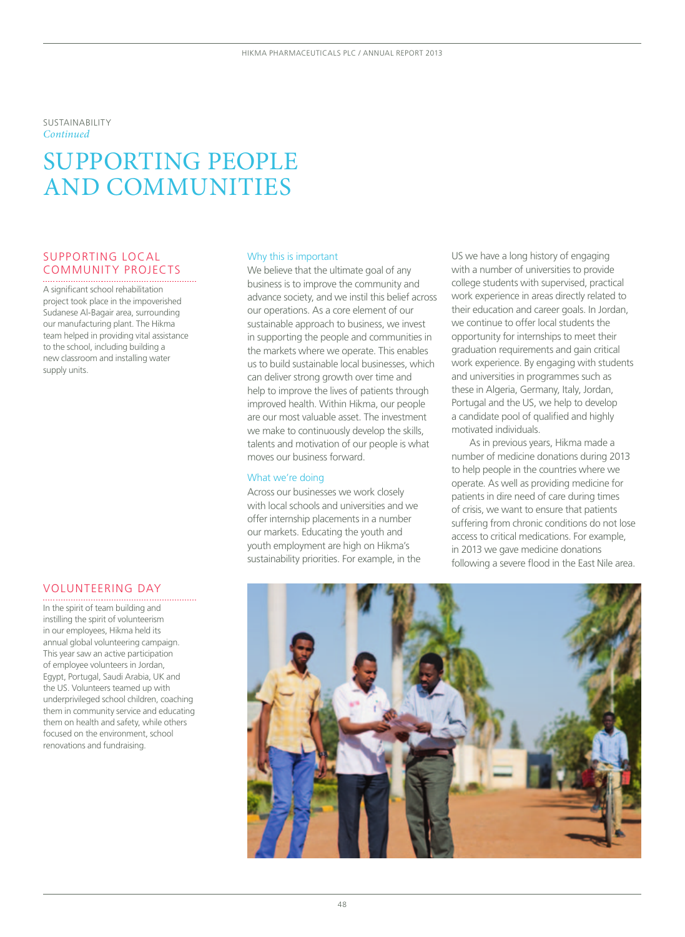Sustainability *Continued*

# SUPPORTING PEOPLE AND COMMUNITIES

# SUPPORTING LOCAL COMMUNITY PROJECTS

A significant school rehabilitation project took place in the impoverished Sudanese Al-Bagair area, surrounding our manufacturing plant. The Hikma team helped in providing vital assistance to the school, including building a new classroom and installing water supply units.

### VOLUNTEERING DAY

In the spirit of team building and instilling the spirit of volunteerism in our employees, Hikma held its annual global volunteering campaign. This year saw an active participation of employee volunteers in Jordan, Egypt, Portugal, Saudi Arabia, UK and the US. Volunteers teamed up with underprivileged school children, coaching them in community service and educating them on health and safety, while others focused on the environment, school renovations and fundraising.

#### Why this is important

We believe that the ultimate goal of any business is to improve the community and advance society, and we instil this belief across our operations. As a core element of our sustainable approach to business, we invest in supporting the people and communities in the markets where we operate. This enables us to build sustainable local businesses, which can deliver strong growth over time and help to improve the lives of patients through improved health. Within Hikma, our people are our most valuable asset. The investment we make to continuously develop the skills, talents and motivation of our people is what moves our business forward.

#### What we're doing

Across our businesses we work closely with local schools and universities and we offer internship placements in a number our markets. Educating the youth and youth employment are high on Hikma's sustainability priorities. For example, in the US we have a long history of engaging with a number of universities to provide college students with supervised, practical work experience in areas directly related to their education and career goals. In Jordan, we continue to offer local students the opportunity for internships to meet their graduation requirements and gain critical work experience. By engaging with students and universities in programmes such as these in Algeria, Germany, Italy, Jordan, Portugal and the US, we help to develop a candidate pool of qualified and highly motivated individuals.

As in previous years, Hikma made a number of medicine donations during 2013 to help people in the countries where we operate. As well as providing medicine for patients in dire need of care during times of crisis, we want to ensure that patients suffering from chronic conditions do not lose access to critical medications. For example, in 2013 we gave medicine donations following a severe flood in the East Nile area.